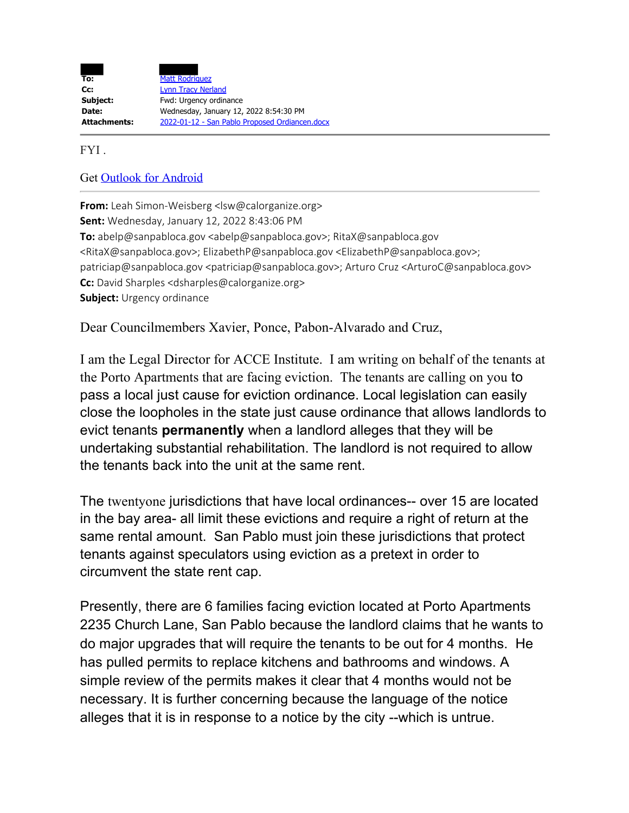

**To:** Matt Rodriguez Cc: Lynn Tracy Nerland **Subject:** Fwd: Urgency ordinance **Date:** Wednesday, January 12, 2022 8:54:30 PM **Attachments:** 2022-01-12 - San Pablo Proposed Ordiancen.docx

FYI .

## Get Outlook for Android

**From:** Leah Simon-Weisberg <lsw@calorganize.org> **Sent:** Wednesday, January 12, 2022 8:43:06 PM **To:** abelp@sanpabloca.gov <abelp@sanpabloca.gov>; RitaX@sanpabloca.gov <RitaX@sanpabloca.gov>; ElizabethP@sanpabloca.gov <ElizabethP@sanpabloca.gov>; patriciap@sanpabloca.gov <patriciap@sanpabloca.gov>; Arturo Cruz <ArturoC@sanpabloca.gov> **Cc:** David Sharples <dsharples@calorganize.org> **Subject:** Urgency ordinance

Dear Councilmembers Xavier, Ponce, Pabon-Alvarado and Cruz,

I am the Legal Director for ACCE Institute. I am writing on behalf of the tenants at the Porto Apartments that are facing eviction. The tenants are calling on you to pass a local just cause for eviction ordinance. Local legislation can easily close the loopholes in the state just cause ordinance that allows landlords to evict tenants **permanently** when a landlord alleges that they will be undertaking substantial rehabilitation. The landlord is not required to allow the tenants back into the unit at the same rent.

The twentyone jurisdictions that have local ordinances-- over 15 are located in the bay area- all limit these evictions and require a right of return at the same rental amount. San Pablo must join these jurisdictions that protect tenants against speculators using eviction as a pretext in order to circumvent the state rent cap.

Presently, there are 6 families facing eviction located at Porto Apartments 2235 Church Lane, San Pablo because the landlord claims that he wants to do major upgrades that will require the tenants to be out for 4 months. He has pulled permits to replace kitchens and bathrooms and windows. A simple review of the permits makes it clear that 4 months would not be necessary. It is further concerning because the language of the notice alleges that it is in response to a notice by the city --which is untrue.